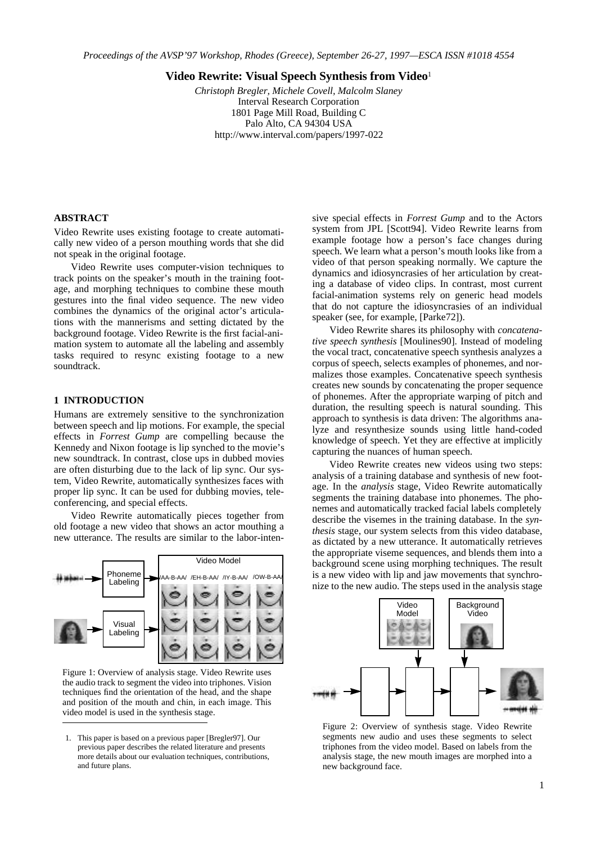**Video Rewrite: Visual Speech Synthesis from Video**<sup>1</sup>

*Christoph Bregler, Michele Covell, Malcolm Slaney* Interval Research Corporation 1801 Page Mill Road, Building C Palo Alto, CA 94304 USA http://www.interval.com/papers/1997-022

# **ABSTRACT**

Video Rewrite uses existing footage to create automatically new video of a person mouthing words that she did not speak in the original footage.

Video Rewrite uses computer-vision techniques to track points on the speaker's mouth in the training footage, and morphing techniques to combine these mouth gestures into the final video sequence. The new video combines the dynamics of the original actor's articulations with the mannerisms and setting dictated by the background footage. Video Rewrite is the first facial-animation system to automate all the labeling and assembly tasks required to resync existing footage to a new soundtrack.

## **1 INTRODUCTION**

Humans are extremely sensitive to the synchronization between speech and lip motions. For example, the special effects in *Forrest Gump* are compelling because the Kennedy and Nixon footage is lip synched to the movie's new soundtrack. In contrast, close ups in dubbed movies are often disturbing due to the lack of lip sync. Our system, Video Rewrite, automatically synthesizes faces with proper lip sync. It can be used for dubbing movies, teleconferencing, and special effects.

Video Rewrite automatically pieces together from old footage a new video that shows an actor mouthing a new utterance. The results are similar to the labor-inten-



Figure 1: Overview of analysis stage. Video Rewrite uses the audio track to segment the video into triphones. Vision techniques find the orientation of the head, and the shape and position of the mouth and chin, in each image. This video model is used in the synthesis stage.

sive special effects in *Forrest Gump* and to the Actors system from JPL [Scott94]. Video Rewrite learns from example footage how a person's face changes during speech. We learn what a person's mouth looks like from a video of that person speaking normally. We capture the dynamics and idiosyncrasies of her articulation by creating a database of video clips. In contrast, most current facial-animation systems rely on generic head models that do not capture the idiosyncrasies of an individual speaker (see, for example, [Parke72]).

Video Rewrite shares its philosophy with *concatenative speech synthesis* [Moulines90]. Instead of modeling the vocal tract, concatenative speech synthesis analyzes a corpus of speech, selects examples of phonemes, and normalizes those examples. Concatenative speech synthesis creates new sounds by concatenating the proper sequence of phonemes. After the appropriate warping of pitch and duration, the resulting speech is natural sounding. This approach to synthesis is data driven: The algorithms analyze and resynthesize sounds using little hand-coded knowledge of speech. Yet they are effective at implicitly capturing the nuances of human speech.

Video Rewrite creates new videos using two steps: analysis of a training database and synthesis of new footage. In the *analysis* stage, Video Rewrite automatically segments the training database into phonemes. The phonemes and automatically tracked facial labels completely describe the visemes in the training database. In the *synthesis* stage, our system selects from this video database, as dictated by a new utterance. It automatically retrieves the appropriate viseme sequences, and blends them into a background scene using morphing techniques. The result is a new video with lip and jaw movements that synchronize to the new audio. The steps used in the analysis stage



Figure 2: Overview of synthesis stage. Video Rewrite segments new audio and uses these segments to select triphones from the video model. Based on labels from the analysis stage, the new mouth images are morphed into a new background face.

<sup>1.</sup> This paper is based on a previous paper [Bregler97]. Our previous paper describes the related literature and presents more details about our evaluation techniques, contributions, and future plans.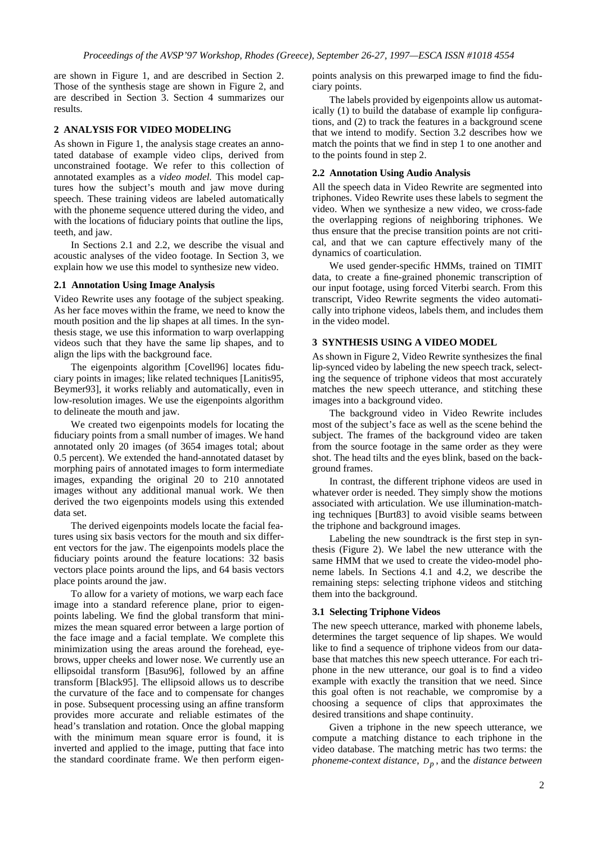are shown in Figure 1, and are described in Section 2. Those of the synthesis stage are shown in Figure 2, and are described in Section 3. Section 4 summarizes our results.

## **2 ANALYSIS FOR VIDEO MODELING**

As shown in Figure 1, the analysis stage creates an annotated database of example video clips, derived from unconstrained footage. We refer to this collection of annotated examples as a *video model.* This model captures how the subject's mouth and jaw move during speech. These training videos are labeled automatically with the phoneme sequence uttered during the video, and with the locations of fiduciary points that outline the lips, teeth, and jaw.

In Sections 2.1 and 2.2, we describe the visual and acoustic analyses of the video footage. In Section 3, we explain how we use this model to synthesize new video.

#### **2.1 Annotation Using Image Analysis**

Video Rewrite uses any footage of the subject speaking. As her face moves within the frame, we need to know the mouth position and the lip shapes at all times. In the synthesis stage, we use this information to warp overlapping videos such that they have the same lip shapes, and to align the lips with the background face.

The eigenpoints algorithm [Covell96] locates fiduciary points in images; like related techniques [Lanitis95, Beymer93], it works reliably and automatically, even in low-resolution images. We use the eigenpoints algorithm to delineate the mouth and jaw.

We created two eigenpoints models for locating the fiduciary points from a small number of images. We hand annotated only 20 images (of 3654 images total; about 0.5 percent). We extended the hand-annotated dataset by morphing pairs of annotated images to form intermediate images, expanding the original 20 to 210 annotated images without any additional manual work. We then derived the two eigenpoints models using this extended data set.

The derived eigenpoints models locate the facial features using six basis vectors for the mouth and six different vectors for the jaw. The eigenpoints models place the fiduciary points around the feature locations: 32 basis vectors place points around the lips, and 64 basis vectors place points around the jaw.

To allow for a variety of motions, we warp each face image into a standard reference plane, prior to eigenpoints labeling. We find the global transform that minimizes the mean squared error between a large portion of the face image and a facial template. We complete this minimization using the areas around the forehead, eyebrows, upper cheeks and lower nose. We currently use an ellipsoidal transform [Basu96], followed by an affine transform [Black95]. The ellipsoid allows us to describe the curvature of the face and to compensate for changes in pose. Subsequent processing using an affine transform provides more accurate and reliable estimates of the head's translation and rotation. Once the global mapping with the minimum mean square error is found, it is inverted and applied to the image, putting that face into the standard coordinate frame. We then perform eigenpoints analysis on this prewarped image to find the fiduciary points.

The labels provided by eigenpoints allow us automatically (1) to build the database of example lip configurations, and (2) to track the features in a background scene that we intend to modify. Section 3.2 describes how we match the points that we find in step 1 to one another and to the points found in step 2.

# **2.2 Annotation Using Audio Analysis**

All the speech data in Video Rewrite are segmented into triphones. Video Rewrite uses these labels to segment the video. When we synthesize a new video, we cross-fade the overlapping regions of neighboring triphones. We thus ensure that the precise transition points are not critical, and that we can capture effectively many of the dynamics of coarticulation.

We used gender-specific HMMs, trained on TIMIT data, to create a fine-grained phonemic transcription of our input footage, using forced Viterbi search. From this transcript, Video Rewrite segments the video automatically into triphone videos, labels them, and includes them in the video model.

### **3 SYNTHESIS USING A VIDEO MODEL**

As shown in Figure 2, Video Rewrite synthesizes the final lip-synced video by labeling the new speech track, selecting the sequence of triphone videos that most accurately matches the new speech utterance, and stitching these images into a background video.

The background video in Video Rewrite includes most of the subject's face as well as the scene behind the subject. The frames of the background video are taken from the source footage in the same order as they were shot. The head tilts and the eyes blink, based on the background frames.

In contrast, the different triphone videos are used in whatever order is needed. They simply show the motions associated with articulation. We use illumination-matching techniques [Burt83] to avoid visible seams between the triphone and background images.

Labeling the new soundtrack is the first step in synthesis (Figure 2). We label the new utterance with the same HMM that we used to create the video-model phoneme labels. In Sections 4.1 and 4.2, we describe the remaining steps: selecting triphone videos and stitching them into the background.

#### **3.1 Selecting Triphone Videos**

The new speech utterance, marked with phoneme labels, determines the target sequence of lip shapes. We would like to find a sequence of triphone videos from our database that matches this new speech utterance. For each triphone in the new utterance, our goal is to find a video example with exactly the transition that we need. Since this goal often is not reachable, we compromise by a choosing a sequence of clips that approximates the desired transitions and shape continuity.

Given a triphone in the new speech utterance, we compute a matching distance to each triphone in the video database. The matching metric has two terms: the *phoneme-context distance*,  $D_n$ , and the *distance between*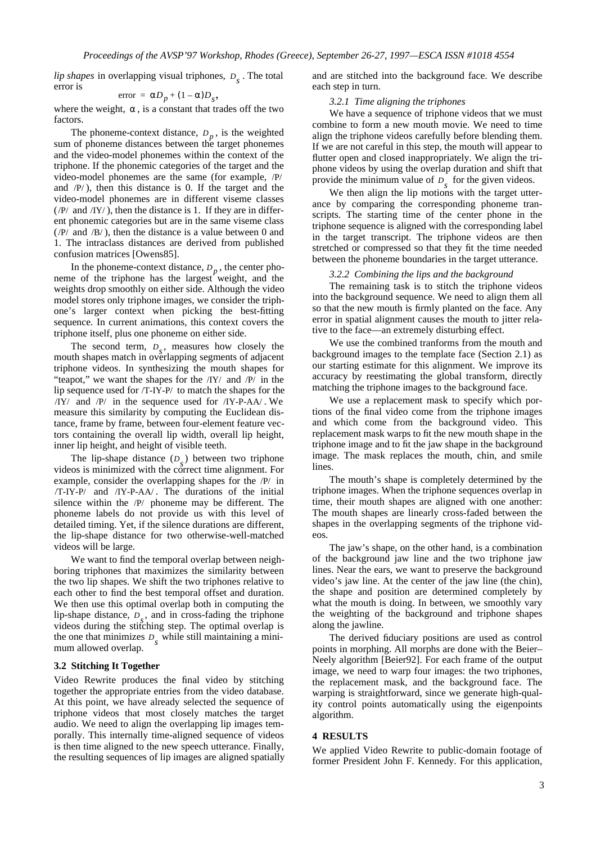*lip shapes* in overlapping visual triphones,  $D<sub>s</sub>$ . The total error is

$$
error = D_p + (1 - )D_s,
$$

where the weight, , is a constant that trades off the two factors.

The phoneme-context distance,  $D_p$ , is the weighted sum of phoneme distances between the target phonemes and the video-model phonemes within the context of the triphone. If the phonemic categories of the target and the video-model phonemes are the same (for example, /P/ and  $/P$ ), then this distance is 0. If the target and the video-model phonemes are in different viseme classes  $(P/$  and  $/IY/$ ), then the distance is 1. If they are in different phonemic categories but are in the same viseme class  $(P/$  and  $/B/$ ), then the distance is a value between 0 and 1. The intraclass distances are derived from published confusion matrices [Owens85].

In the phoneme-context distance,  $D_p$ , the center phoneme of the triphone has the largest weight, and the weights drop smoothly on either side. Although the video model stores only triphone images, we consider the triphone's larger context when picking the best-fitting sequence. In current animations, this context covers the triphone itself, plus one phoneme on either side.

The second term,  $D_s$ , measures how closely the mouth shapes match in overlapping segments of adjacent triphone videos. In synthesizing the mouth shapes for "teapot," we want the shapes for the  $/iy$  and  $/Py$  in the lip sequence used for /T-IY-P/ to match the shapes for the  $\langle IY \rangle$  and  $\langle P \rangle$  in the sequence used for  $\langle IY - P - AA \rangle$ . We measure this similarity by computing the Euclidean distance, frame by frame, between four-element feature vectors containing the overall lip width, overall lip height, inner lip height, and height of visible teeth.

The lip-shape distance  $(D<sub>s</sub>)$  between two triphone videos is minimized with the correct time alignment. For example, consider the overlapping shapes for the  $\overline{P}$  in  $/T- IY-P/$  and  $/IY-P-AA/$ . The durations of the initial silence within the  $\overline{P}$  phoneme may be different. The phoneme labels do not provide us with this level of detailed timing. Yet, if the silence durations are different, the lip-shape distance for two otherwise-well-matched videos will be large.

We want to find the temporal overlap between neighboring triphones that maximizes the similarity between the two lip shapes. We shift the two triphones relative to each other to find the best temporal offset and duration. We then use this optimal overlap both in computing the lip-shape distance,  $D_s$ , and in cross-fading the triphone videos during the stitching step. The optimal overlap is the one that minimizes  $D_s$  while still maintaining a minimum allowed overlap.

#### **3.2 Stitching It Together**

Video Rewrite produces the final video by stitching together the appropriate entries from the video database. At this point, we have already selected the sequence of triphone videos that most closely matches the target audio. We need to align the overlapping lip images temporally. This internally time-aligned sequence of videos is then time aligned to the new speech utterance. Finally, the resulting sequences of lip images are aligned spatially and are stitched into the background face. We describe each step in turn.

### *3.2.1 Time aligning the triphones*

We have a sequence of triphone videos that we must combine to form a new mouth movie. We need to time align the triphone videos carefully before blending them. If we are not careful in this step, the mouth will appear to flutter open and closed inappropriately. We align the triphone videos by using the overlap duration and shift that provide the minimum value of  $D_s$  for the given videos.

We then align the lip motions with the target utterance by comparing the corresponding phoneme transcripts. The starting time of the center phone in the triphone sequence is aligned with the corresponding label in the target transcript. The triphone videos are then stretched or compressed so that they fit the time needed between the phoneme boundaries in the target utterance.

#### *3.2.2 Combining the lips and the background*

The remaining task is to stitch the triphone videos into the background sequence. We need to align them all so that the new mouth is firmly planted on the face. Any error in spatial alignment causes the mouth to jitter relative to the face—an extremely disturbing effect.

We use the combined tranforms from the mouth and background images to the template face (Section 2.1) as our starting estimate for this alignment. We improve its accuracy by reestimating the global transform, directly matching the triphone images to the background face.

We use a replacement mask to specify which portions of the final video come from the triphone images and which come from the background video. This replacement mask warps to fit the new mouth shape in the triphone image and to fit the jaw shape in the background image. The mask replaces the mouth, chin, and smile lines.

The mouth's shape is completely determined by the triphone images. When the triphone sequences overlap in time, their mouth shapes are aligned with one another: The mouth shapes are linearly cross-faded between the shapes in the overlapping segments of the triphone videos.

The jaw's shape, on the other hand, is a combination of the background jaw line and the two triphone jaw lines. Near the ears, we want to preserve the background video's jaw line. At the center of the jaw line (the chin), the shape and position are determined completely by what the mouth is doing. In between, we smoothly vary the weighting of the background and triphone shapes along the jawline.

The derived fiduciary positions are used as control points in morphing. All morphs are done with the Beier– Neely algorithm [Beier92]. For each frame of the output image, we need to warp four images: the two triphones, the replacement mask, and the background face. The warping is straightforward, since we generate high-quality control points automatically using the eigenpoints algorithm.

## **4 RESULTS**

We applied Video Rewrite to public-domain footage of former President John F. Kennedy. For this application,